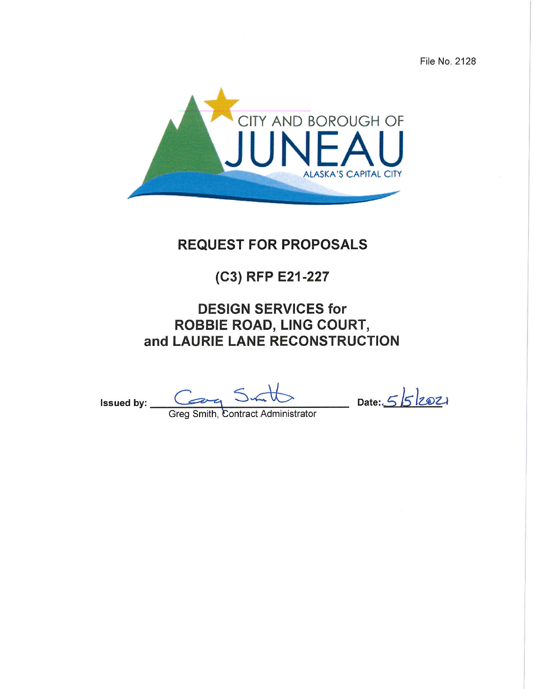File No. 2128



# **REQUEST FOR PROPOSALS**

# (C3) RFP E21-227

# **DESIGN SERVICES for ROBBIE ROAD, LING COURT,** and LAURIE LANE RECONSTRUCTION

Issued by: <u>Computer Sun University</u> Date: 552021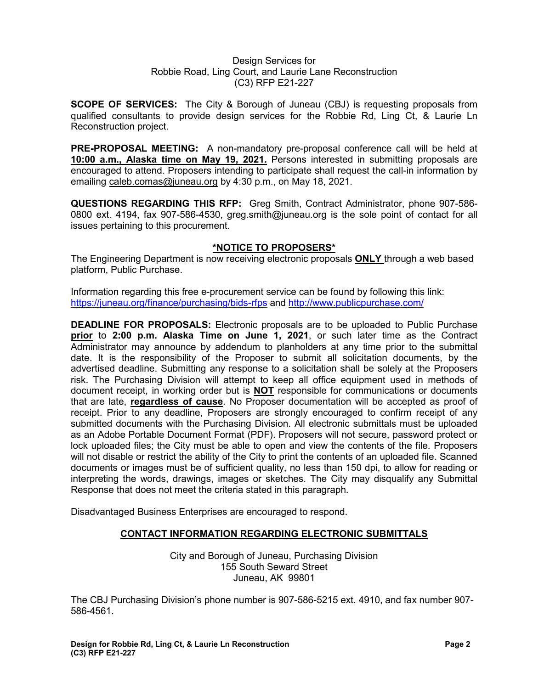#### Design Services for Robbie Road, Ling Court, and Laurie Lane Reconstruction (C3) RFP E21-227

**SCOPE OF SERVICES:** The City & Borough of Juneau (CBJ) is requesting proposals from qualified consultants to provide design services for the Robbie Rd, Ling Ct, & Laurie Ln Reconstruction project.

**PRE-PROPOSAL MEETING:** A non-mandatory pre-proposal conference call will be held at **10:00 a.m., Alaska time on May 19, 2021.** Persons interested in submitting proposals are encouraged to attend. Proposers intending to participate shall request the call-in information by emailing [caleb.comas@juneau.org](mailto:caleb.comas@juneau.org) by 4:30 p.m., on May 18, 2021.

**QUESTIONS REGARDING THIS RFP:** Greg Smith, Contract Administrator, phone 907-586- 0800 ext. 4194, fax 907-586-4530, greg.smith@juneau.org is the sole point of contact for all issues pertaining to this procurement.

# **\*NOTICE TO PROPOSERS\***

The Engineering Department is now receiving electronic proposals **ONLY** through a web based platform, Public Purchase.

Information regarding this free e-procurement service can be found by following this link: <https://juneau.org/finance/purchasing/bids-rfps> and<http://www.publicpurchase.com/>

**DEADLINE FOR PROPOSALS:** Electronic proposals are to be uploaded to Public Purchase **prior** to **2:00 p.m. Alaska Time on June 1, 2021**, or such later time as the Contract Administrator may announce by addendum to planholders at any time prior to the submittal date. It is the responsibility of the Proposer to submit all solicitation documents, by the advertised deadline. Submitting any response to a solicitation shall be solely at the Proposers risk. The Purchasing Division will attempt to keep all office equipment used in methods of document receipt, in working order but is **NOT** responsible for communications or documents that are late, **regardless of cause**. No Proposer documentation will be accepted as proof of receipt. Prior to any deadline, Proposers are strongly encouraged to confirm receipt of any submitted documents with the Purchasing Division. All electronic submittals must be uploaded as an Adobe Portable Document Format (PDF). Proposers will not secure, password protect or lock uploaded files; the City must be able to open and view the contents of the file. Proposers will not disable or restrict the ability of the City to print the contents of an uploaded file. Scanned documents or images must be of sufficient quality, no less than 150 dpi, to allow for reading or interpreting the words, drawings, images or sketches. The City may disqualify any Submittal Response that does not meet the criteria stated in this paragraph.

Disadvantaged Business Enterprises are encouraged to respond.

# **CONTACT INFORMATION REGARDING ELECTRONIC SUBMITTALS**

City and Borough of Juneau, Purchasing Division 155 South Seward Street Juneau, AK 99801

The CBJ Purchasing Division's phone number is 907-586-5215 ext. 4910, and fax number 907- 586-4561.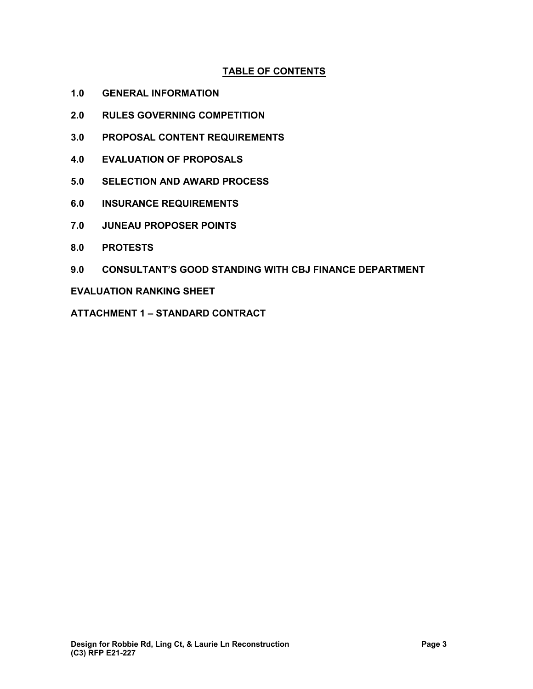# **TABLE OF CONTENTS**

- **1.0 GENERAL INFORMATION**
- **2.0 RULES GOVERNING COMPETITION**
- **3.0 PROPOSAL CONTENT REQUIREMENTS**
- **4.0 EVALUATION OF PROPOSALS**
- **5.0 SELECTION AND AWARD PROCESS**
- **6.0 INSURANCE REQUIREMENTS**
- **7.0 JUNEAU PROPOSER POINTS**
- **8.0 PROTESTS**
- **9.0 CONSULTANT'S GOOD STANDING WITH CBJ FINANCE DEPARTMENT**

**EVALUATION RANKING SHEET** 

**ATTACHMENT 1 – STANDARD CONTRACT**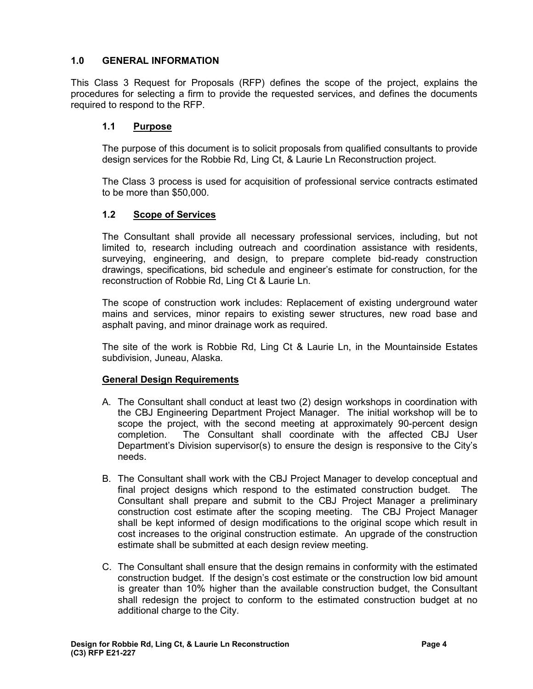# **1.0 GENERAL INFORMATION**

This Class 3 Request for Proposals (RFP) defines the scope of the project, explains the procedures for selecting a firm to provide the requested services, and defines the documents required to respond to the RFP.

# **1.1 Purpose**

The purpose of this document is to solicit proposals from qualified consultants to provide design services for the Robbie Rd, Ling Ct, & Laurie Ln Reconstruction project.

The Class 3 process is used for acquisition of professional service contracts estimated to be more than \$50,000.

# **1.2 Scope of Services**

The Consultant shall provide all necessary professional services, including, but not limited to, research including outreach and coordination assistance with residents, surveying, engineering, and design, to prepare complete bid-ready construction drawings, specifications, bid schedule and engineer's estimate for construction, for the reconstruction of Robbie Rd, Ling Ct & Laurie Ln.

The scope of construction work includes: Replacement of existing underground water mains and services, minor repairs to existing sewer structures, new road base and asphalt paving, and minor drainage work as required.

The site of the work is Robbie Rd, Ling Ct & Laurie Ln, in the Mountainside Estates subdivision, Juneau, Alaska.

# **General Design Requirements**

- A. The Consultant shall conduct at least two (2) design workshops in coordination with the CBJ Engineering Department Project Manager. The initial workshop will be to scope the project, with the second meeting at approximately 90-percent design completion. The Consultant shall coordinate with the affected CBJ User Department's Division supervisor(s) to ensure the design is responsive to the City's needs.
- B. The Consultant shall work with the CBJ Project Manager to develop conceptual and final project designs which respond to the estimated construction budget. The Consultant shall prepare and submit to the CBJ Project Manager a preliminary construction cost estimate after the scoping meeting. The CBJ Project Manager shall be kept informed of design modifications to the original scope which result in cost increases to the original construction estimate. An upgrade of the construction estimate shall be submitted at each design review meeting.
- C. The Consultant shall ensure that the design remains in conformity with the estimated construction budget. If the design's cost estimate or the construction low bid amount is greater than 10% higher than the available construction budget, the Consultant shall redesign the project to conform to the estimated construction budget at no additional charge to the City.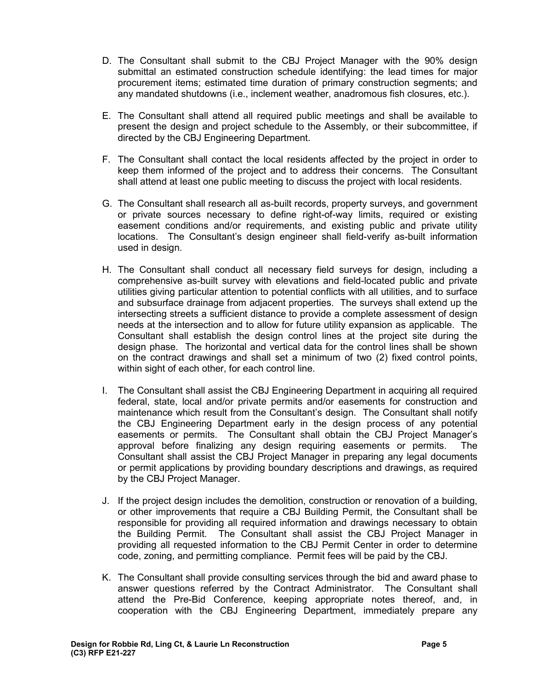- D. The Consultant shall submit to the CBJ Project Manager with the 90% design submittal an estimated construction schedule identifying: the lead times for major procurement items; estimated time duration of primary construction segments; and any mandated shutdowns (i.e., inclement weather, anadromous fish closures, etc.).
- E. The Consultant shall attend all required public meetings and shall be available to present the design and project schedule to the Assembly, or their subcommittee, if directed by the CBJ Engineering Department.
- F. The Consultant shall contact the local residents affected by the project in order to keep them informed of the project and to address their concerns. The Consultant shall attend at least one public meeting to discuss the project with local residents.
- G. The Consultant shall research all as-built records, property surveys, and government or private sources necessary to define right-of-way limits, required or existing easement conditions and/or requirements, and existing public and private utility locations. The Consultant's design engineer shall field-verify as-built information used in design.
- H. The Consultant shall conduct all necessary field surveys for design, including a comprehensive as-built survey with elevations and field-located public and private utilities giving particular attention to potential conflicts with all utilities, and to surface and subsurface drainage from adjacent properties. The surveys shall extend up the intersecting streets a sufficient distance to provide a complete assessment of design needs at the intersection and to allow for future utility expansion as applicable. The Consultant shall establish the design control lines at the project site during the design phase. The horizontal and vertical data for the control lines shall be shown on the contract drawings and shall set a minimum of two (2) fixed control points, within sight of each other, for each control line.
- I. The Consultant shall assist the CBJ Engineering Department in acquiring all required federal, state, local and/or private permits and/or easements for construction and maintenance which result from the Consultant's design. The Consultant shall notify the CBJ Engineering Department early in the design process of any potential easements or permits. The Consultant shall obtain the CBJ Project Manager's approval before finalizing any design requiring easements or permits. The Consultant shall assist the CBJ Project Manager in preparing any legal documents or permit applications by providing boundary descriptions and drawings, as required by the CBJ Project Manager.
- J. If the project design includes the demolition, construction or renovation of a building, or other improvements that require a CBJ Building Permit, the Consultant shall be responsible for providing all required information and drawings necessary to obtain the Building Permit. The Consultant shall assist the CBJ Project Manager in providing all requested information to the CBJ Permit Center in order to determine code, zoning, and permitting compliance. Permit fees will be paid by the CBJ.
- K. The Consultant shall provide consulting services through the bid and award phase to answer questions referred by the Contract Administrator. The Consultant shall attend the Pre-Bid Conference, keeping appropriate notes thereof, and, in cooperation with the CBJ Engineering Department, immediately prepare any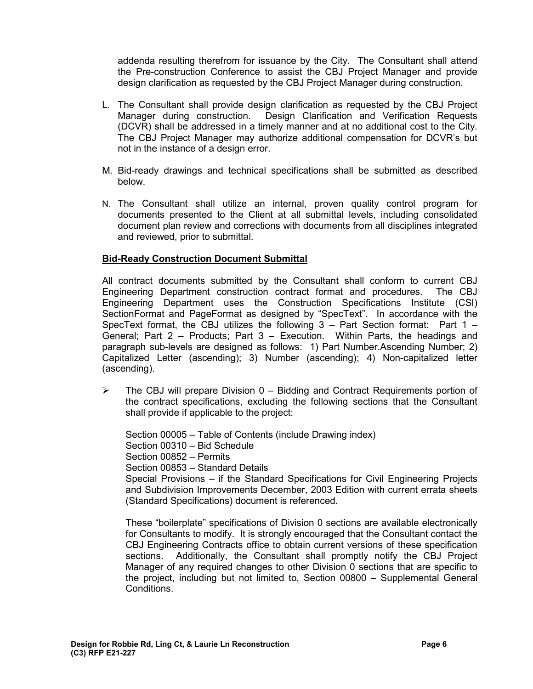addenda resulting therefrom for issuance by the City. The Consultant shall attend the Pre-construction Conference to assist the CBJ Project Manager and provide design clarification as requested by the CBJ Project Manager during construction.

- L. The Consultant shall provide design clarification as requested by the CBJ Project Manager during construction. Design Clarification and Verification Requests (DCVR) shall be addressed in a timely manner and at no additional cost to the City. The CBJ Project Manager may authorize additional compensation for DCVR's but not in the instance of a design error.
- M. Bid-ready drawings and technical specifications shall be submitted as described below.
- N. The Consultant shall utilize an internal, proven quality control program for documents presented to the Client at all submittal levels, including consolidated document plan review and corrections with documents from all disciplines integrated and reviewed, prior to submittal.

# **Bid-Ready Construction Document Submittal**

All contract documents submitted by the Consultant shall conform to current CBJ Engineering Department construction contract format and procedures. The CBJ Engineering Department uses the Construction Specifications Institute (CSI) SectionFormat and PageFormat as designed by "SpecText". In accordance with the SpecText format, the CBJ utilizes the following  $3$  – Part Section format: Part  $1$  – General; Part 2 – Products; Part 3 – Execution. Within Parts, the headings and paragraph sub-levels are designed as follows: 1) Part Number.Ascending Number; 2) Capitalized Letter (ascending); 3) Number (ascending); 4) Non-capitalized letter (ascending).

 $\triangleright$  The CBJ will prepare Division 0 – Bidding and Contract Requirements portion of the contract specifications, excluding the following sections that the Consultant shall provide if applicable to the project:

Section 00005 – Table of Contents (include Drawing index) Section 00310 – Bid Schedule Section 00852 – Permits Section 00853 – Standard Details Special Provisions – if the Standard Specifications for Civil Engineering Projects and Subdivision Improvements December, 2003 Edition with current errata sheets (Standard Specifications) document is referenced.

These "boilerplate" specifications of Division 0 sections are available electronically for Consultants to modify. It is strongly encouraged that the Consultant contact the CBJ Engineering Contracts office to obtain current versions of these specification sections. Additionally, the Consultant shall promptly notify the CBJ Project Manager of any required changes to other Division 0 sections that are specific to the project, including but not limited to, Section 00800 – Supplemental General **Conditions**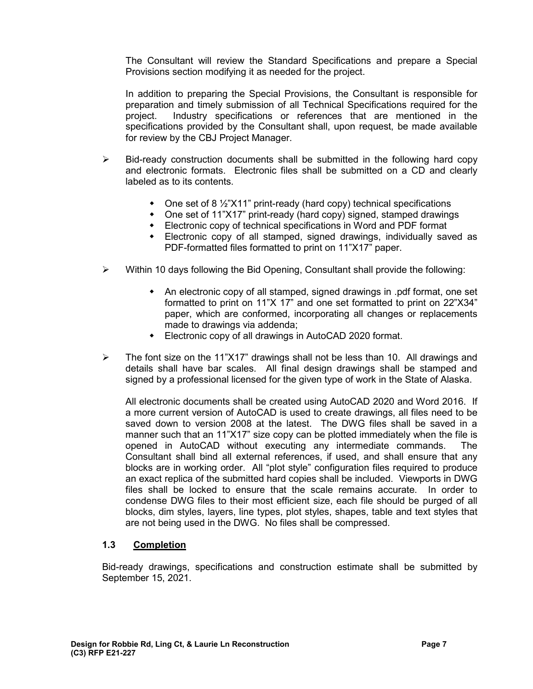The Consultant will review the Standard Specifications and prepare a Special Provisions section modifying it as needed for the project.

In addition to preparing the Special Provisions, the Consultant is responsible for preparation and timely submission of all Technical Specifications required for the project. Industry specifications or references that are mentioned in the specifications provided by the Consultant shall, upon request, be made available for review by the CBJ Project Manager.

- $\triangleright$  Bid-ready construction documents shall be submitted in the following hard copy and electronic formats. Electronic files shall be submitted on a CD and clearly labeled as to its contents.
	- $\bullet$  One set of 8  $\frac{1}{2}$ "X11" print-ready (hard copy) technical specifications
	- One set of 11"X17" print-ready (hard copy) signed, stamped drawings
	- Electronic copy of technical specifications in Word and PDF format
	- Electronic copy of all stamped, signed drawings, individually saved as PDF-formatted files formatted to print on 11"X17" paper.
- $\triangleright$  Within 10 days following the Bid Opening, Consultant shall provide the following:
	- An electronic copy of all stamped, signed drawings in .pdf format, one set formatted to print on 11"X 17" and one set formatted to print on 22"X34" paper, which are conformed, incorporating all changes or replacements made to drawings via addenda;
	- Electronic copy of all drawings in AutoCAD 2020 format.
- $\triangleright$  The font size on the 11"X17" drawings shall not be less than 10. All drawings and details shall have bar scales. All final design drawings shall be stamped and signed by a professional licensed for the given type of work in the State of Alaska.

All electronic documents shall be created using AutoCAD 2020 and Word 2016. If a more current version of AutoCAD is used to create drawings, all files need to be saved down to version 2008 at the latest. The DWG files shall be saved in a manner such that an 11"X17" size copy can be plotted immediately when the file is opened in AutoCAD without executing any intermediate commands. The Consultant shall bind all external references, if used, and shall ensure that any blocks are in working order. All "plot style" configuration files required to produce an exact replica of the submitted hard copies shall be included. Viewports in DWG files shall be locked to ensure that the scale remains accurate. In order to condense DWG files to their most efficient size, each file should be purged of all blocks, dim styles, layers, line types, plot styles, shapes, table and text styles that are not being used in the DWG. No files shall be compressed.

# **1.3 Completion**

Bid-ready drawings, specifications and construction estimate shall be submitted by September 15, 2021.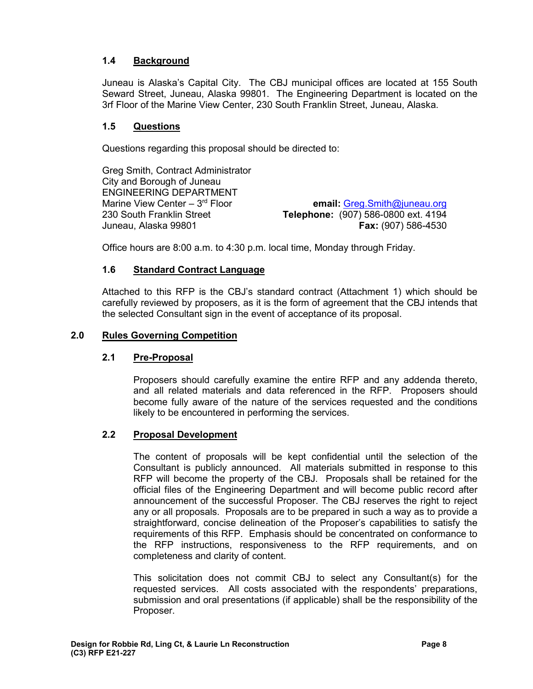# **1.4 Background**

Juneau is Alaska's Capital City. The CBJ municipal offices are located at 155 South Seward Street, Juneau, Alaska 99801. The Engineering Department is located on the 3rf Floor of the Marine View Center, 230 South Franklin Street, Juneau, Alaska.

#### **1.5 Questions**

Questions regarding this proposal should be directed to:

Greg Smith, Contract Administrator City and Borough of Juneau ENGINEERING DEPARTMENT Marine View Center – 3rd Floor **email:** [Greg.Smith@juneau.org](mailto:Greg.Smith@juneau.org) 230 South Franklin Street **Telephone:** (907) 586-0800 ext. 4194 Juneau, Alaska 99801 **Fax:** (907) 586-4530

Office hours are 8:00 a.m. to 4:30 p.m. local time, Monday through Friday.

# **1.6 Standard Contract Language**

Attached to this RFP is the CBJ's standard contract (Attachment 1) which should be carefully reviewed by proposers, as it is the form of agreement that the CBJ intends that the selected Consultant sign in the event of acceptance of its proposal.

#### **2.0 Rules Governing Competition**

# **2.1 Pre-Proposal**

Proposers should carefully examine the entire RFP and any addenda thereto, and all related materials and data referenced in the RFP. Proposers should become fully aware of the nature of the services requested and the conditions likely to be encountered in performing the services.

#### **2.2 Proposal Development**

The content of proposals will be kept confidential until the selection of the Consultant is publicly announced. All materials submitted in response to this RFP will become the property of the CBJ. Proposals shall be retained for the official files of the Engineering Department and will become public record after announcement of the successful Proposer. The CBJ reserves the right to reject any or all proposals. Proposals are to be prepared in such a way as to provide a straightforward, concise delineation of the Proposer's capabilities to satisfy the requirements of this RFP. Emphasis should be concentrated on conformance to the RFP instructions, responsiveness to the RFP requirements, and on completeness and clarity of content.

This solicitation does not commit CBJ to select any Consultant(s) for the requested services. All costs associated with the respondents' preparations, submission and oral presentations (if applicable) shall be the responsibility of the Proposer.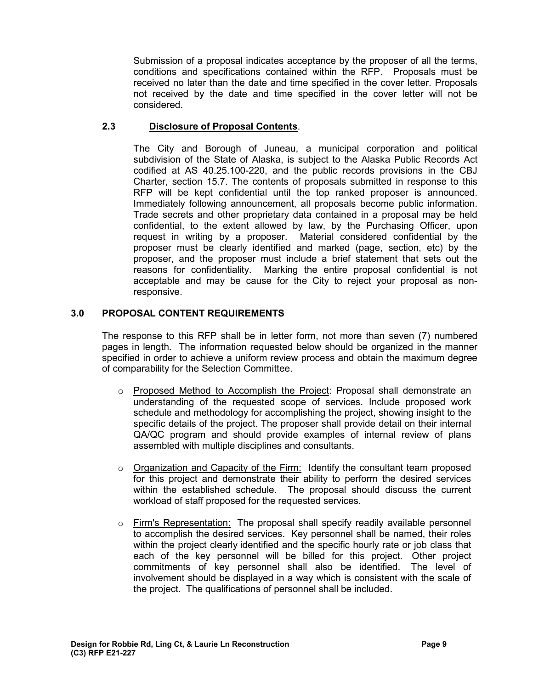Submission of a proposal indicates acceptance by the proposer of all the terms, conditions and specifications contained within the RFP. Proposals must be received no later than the date and time specified in the cover letter. Proposals not received by the date and time specified in the cover letter will not be considered.

# **2.3 Disclosure of Proposal Contents**.

The City and Borough of Juneau, a municipal corporation and political subdivision of the State of Alaska, is subject to the Alaska Public Records Act codified at AS 40.25.100-220, and the public records provisions in the CBJ Charter, section 15.7. The contents of proposals submitted in response to this RFP will be kept confidential until the top ranked proposer is announced. Immediately following announcement, all proposals become public information. Trade secrets and other proprietary data contained in a proposal may be held confidential, to the extent allowed by law, by the Purchasing Officer, upon request in writing by a proposer. Material considered confidential by the proposer must be clearly identified and marked (page, section, etc) by the proposer, and the proposer must include a brief statement that sets out the reasons for confidentiality. Marking the entire proposal confidential is not acceptable and may be cause for the City to reject your proposal as nonresponsive.

# **3.0 PROPOSAL CONTENT REQUIREMENTS**

The response to this RFP shall be in letter form, not more than seven (7) numbered pages in length. The information requested below should be organized in the manner specified in order to achieve a uniform review process and obtain the maximum degree of comparability for the Selection Committee.

- o Proposed Method to Accomplish the Project: Proposal shall demonstrate an understanding of the requested scope of services. Include proposed work schedule and methodology for accomplishing the project, showing insight to the specific details of the project. The proposer shall provide detail on their internal QA/QC program and should provide examples of internal review of plans assembled with multiple disciplines and consultants.
- o Organization and Capacity of the Firm: Identify the consultant team proposed for this project and demonstrate their ability to perform the desired services within the established schedule. The proposal should discuss the current workload of staff proposed for the requested services.
- $\circ$  Firm's Representation: The proposal shall specify readily available personnel to accomplish the desired services. Key personnel shall be named, their roles within the project clearly identified and the specific hourly rate or job class that each of the key personnel will be billed for this project. Other project commitments of key personnel shall also be identified. The level of involvement should be displayed in a way which is consistent with the scale of the project. The qualifications of personnel shall be included.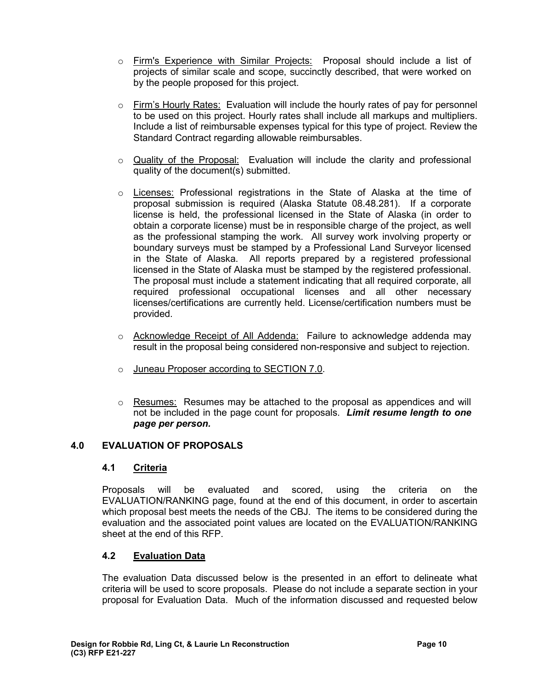- o Firm's Experience with Similar Projects: Proposal should include a list of projects of similar scale and scope, succinctly described, that were worked on by the people proposed for this project.
- $\circ$  Firm's Hourly Rates: Evaluation will include the hourly rates of pay for personnel to be used on this project. Hourly rates shall include all markups and multipliers. Include a list of reimbursable expenses typical for this type of project. Review the Standard Contract regarding allowable reimbursables.
- $\circ$  Quality of the Proposal: Evaluation will include the clarity and professional quality of the document(s) submitted.
- o Licenses: Professional registrations in the State of Alaska at the time of proposal submission is required (Alaska Statute 08.48.281). If a corporate license is held, the professional licensed in the State of Alaska (in order to obtain a corporate license) must be in responsible charge of the project, as well as the professional stamping the work. All survey work involving property or boundary surveys must be stamped by a Professional Land Surveyor licensed in the State of Alaska. All reports prepared by a registered professional licensed in the State of Alaska must be stamped by the registered professional. The proposal must include a statement indicating that all required corporate, all required professional occupational licenses and all other necessary licenses/certifications are currently held. License/certification numbers must be provided.
- o Acknowledge Receipt of All Addenda: Failure to acknowledge addenda may result in the proposal being considered non-responsive and subject to rejection.
- o Juneau Proposer according to SECTION 7.0.
- $\circ$  Resumes: Resumes may be attached to the proposal as appendices and will not be included in the page count for proposals. *Limit resume length to one page per person.*

# **4.0 EVALUATION OF PROPOSALS**

# **4.1 Criteria**

Proposals will be evaluated and scored, using the criteria on the EVALUATION/RANKING page, found at the end of this document, in order to ascertain which proposal best meets the needs of the CBJ. The items to be considered during the evaluation and the associated point values are located on the EVALUATION/RANKING sheet at the end of this RFP.

# **4.2 Evaluation Data**

The evaluation Data discussed below is the presented in an effort to delineate what criteria will be used to score proposals. Please do not include a separate section in your proposal for Evaluation Data. Much of the information discussed and requested below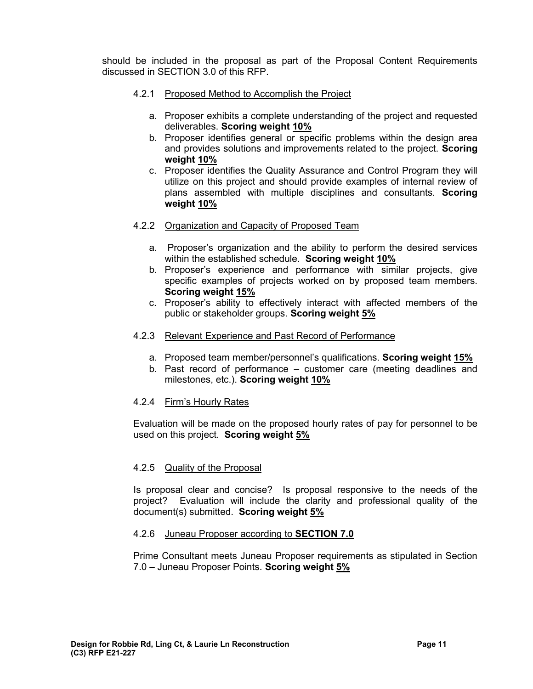should be included in the proposal as part of the Proposal Content Requirements discussed in SECTION 3.0 of this RFP.

- 4.2.1 Proposed Method to Accomplish the Project
	- a. Proposer exhibits a complete understanding of the project and requested deliverables. **Scoring weight 10%**
	- b. Proposer identifies general or specific problems within the design area and provides solutions and improvements related to the project. **Scoring weight 10%**
	- c. Proposer identifies the Quality Assurance and Control Program they will utilize on this project and should provide examples of internal review of plans assembled with multiple disciplines and consultants. **Scoring weight 10%**
- 4.2.2 Organization and Capacity of Proposed Team
	- a. Proposer's organization and the ability to perform the desired services within the established schedule. **Scoring weight 10%**
	- b. Proposer's experience and performance with similar projects, give specific examples of projects worked on by proposed team members. **Scoring weight 15%**
	- c. Proposer's ability to effectively interact with affected members of the public or stakeholder groups. **Scoring weight 5%**
- 4.2.3 Relevant Experience and Past Record of Performance
	- a. Proposed team member/personnel's qualifications. **Scoring weight 15%**
	- b. Past record of performance customer care (meeting deadlines and milestones, etc.). **Scoring weight 10%**

# 4.2.4 Firm's Hourly Rates

Evaluation will be made on the proposed hourly rates of pay for personnel to be used on this project. **Scoring weight 5%**

# 4.2.5 Quality of the Proposal

Is proposal clear and concise? Is proposal responsive to the needs of the project? Evaluation will include the clarity and professional quality of the document(s) submitted. **Scoring weight 5%**

#### 4.2.6 Juneau Proposer according to **SECTION 7.0**

Prime Consultant meets Juneau Proposer requirements as stipulated in Section 7.0 – Juneau Proposer Points. **Scoring weight 5%**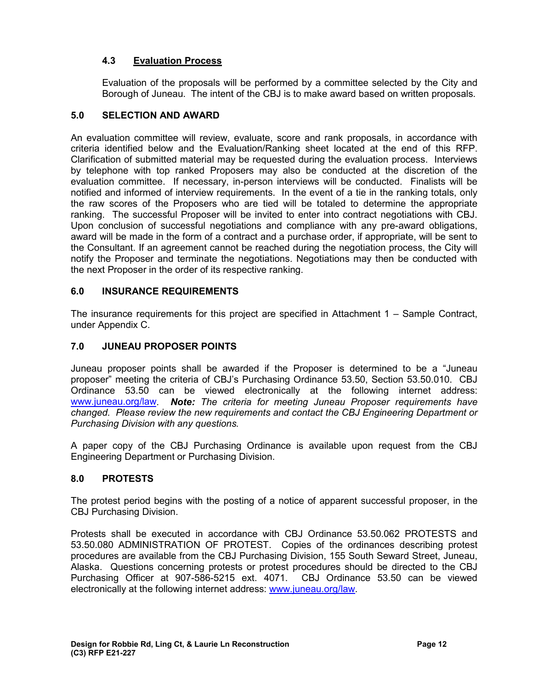# **4.3 Evaluation Process**

Evaluation of the proposals will be performed by a committee selected by the City and Borough of Juneau. The intent of the CBJ is to make award based on written proposals.

# **5.0 SELECTION AND AWARD**

An evaluation committee will review, evaluate, score and rank proposals, in accordance with criteria identified below and the Evaluation/Ranking sheet located at the end of this RFP. Clarification of submitted material may be requested during the evaluation process. Interviews by telephone with top ranked Proposers may also be conducted at the discretion of the evaluation committee. If necessary, in-person interviews will be conducted. Finalists will be notified and informed of interview requirements. In the event of a tie in the ranking totals, only the raw scores of the Proposers who are tied will be totaled to determine the appropriate ranking. The successful Proposer will be invited to enter into contract negotiations with CBJ. Upon conclusion of successful negotiations and compliance with any pre-award obligations, award will be made in the form of a contract and a purchase order, if appropriate, will be sent to the Consultant. If an agreement cannot be reached during the negotiation process, the City will notify the Proposer and terminate the negotiations. Negotiations may then be conducted with the next Proposer in the order of its respective ranking.

# **6.0 INSURANCE REQUIREMENTS**

The insurance requirements for this project are specified in Attachment 1 – Sample Contract, under Appendix C.

# **7.0 JUNEAU PROPOSER POINTS**

Juneau proposer points shall be awarded if the Proposer is determined to be a "Juneau proposer" meeting the criteria of CBJ's Purchasing Ordinance 53.50, Section 53.50.010. CBJ Ordinance 53.50 can be viewed electronically at the following internet address: [www.juneau.org/law.](http://www.juneau.org/law) *Note: The criteria for meeting Juneau Proposer requirements have changed. Please review the new requirements and contact the CBJ Engineering Department or Purchasing Division with any questions.* 

A paper copy of the CBJ Purchasing Ordinance is available upon request from the CBJ Engineering Department or Purchasing Division.

# **8.0 PROTESTS**

The protest period begins with the posting of a notice of apparent successful proposer, in the CBJ Purchasing Division.

Protests shall be executed in accordance with CBJ Ordinance 53.50.062 PROTESTS and 53.50.080 ADMINISTRATION OF PROTEST. Copies of the ordinances describing protest procedures are available from the CBJ Purchasing Division, 155 South Seward Street, Juneau, Alaska. Questions concerning protests or protest procedures should be directed to the CBJ Purchasing Officer at 907-586-5215 ext. 4071. CBJ Ordinance 53.50 can be viewed electronically at the following internet address: [www.juneau.org/law.](http://www.juneau.org/law)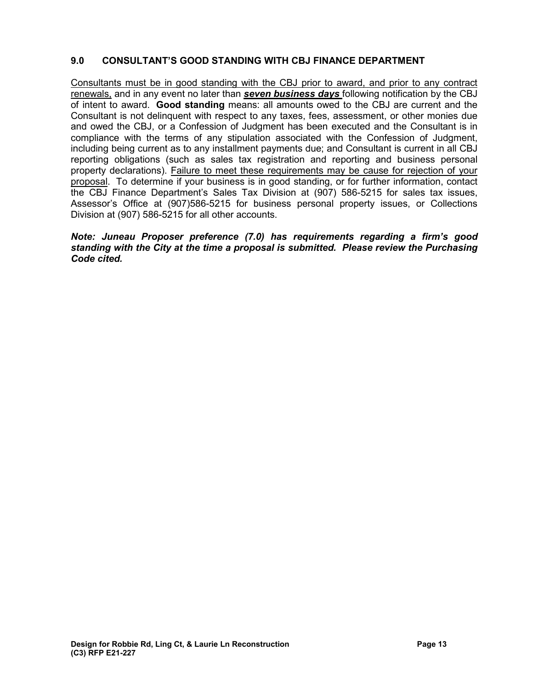# **9.0 CONSULTANT'S GOOD STANDING WITH CBJ FINANCE DEPARTMENT**

Consultants must be in good standing with the CBJ prior to award, and prior to any contract renewals, and in any event no later than *seven business days* following notification by the CBJ of intent to award. **Good standing** means: all amounts owed to the CBJ are current and the Consultant is not delinquent with respect to any taxes, fees, assessment, or other monies due and owed the CBJ, or a Confession of Judgment has been executed and the Consultant is in compliance with the terms of any stipulation associated with the Confession of Judgment, including being current as to any installment payments due; and Consultant is current in all CBJ reporting obligations (such as sales tax registration and reporting and business personal property declarations). Failure to meet these requirements may be cause for rejection of your proposal. To determine if your business is in good standing, or for further information, contact the CBJ Finance Department's Sales Tax Division at (907) 586-5215 for sales tax issues, Assessor's Office at (907)586-5215 for business personal property issues, or Collections Division at (907) 586-5215 for all other accounts.

#### *Note: Juneau Proposer preference (7.0) has requirements regarding a firm's good standing with the City at the time a proposal is submitted. Please review the Purchasing Code cited.*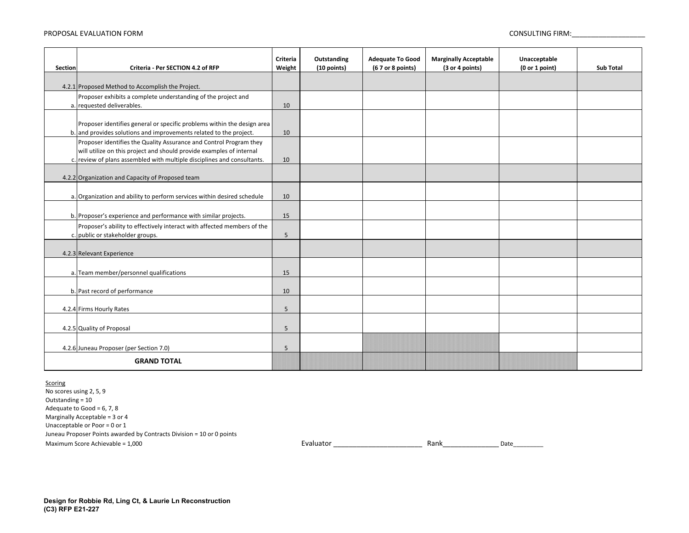#### PROPOSAL EVALUATION FORM CONSULTING FIRM: And the consulting firm: consulting firm:

| Section            | Criteria - Per SECTION 4.2 of RFP                                                                                                               | Criteria<br>Weight | Outstanding<br>(10 points) | <b>Adequate To Good</b><br>(67 or 8 points) | <b>Marginally Acceptable</b><br>(3 or 4 points) | Unacceptable<br>(0 or 1 point) | <b>Sub Total</b> |
|--------------------|-------------------------------------------------------------------------------------------------------------------------------------------------|--------------------|----------------------------|---------------------------------------------|-------------------------------------------------|--------------------------------|------------------|
|                    |                                                                                                                                                 |                    |                            |                                             |                                                 |                                |                  |
|                    | 4.2.1 Proposed Method to Accomplish the Project.                                                                                                |                    |                            |                                             |                                                 |                                |                  |
|                    | Proposer exhibits a complete understanding of the project and                                                                                   |                    |                            |                                             |                                                 |                                |                  |
|                    | a. requested deliverables.                                                                                                                      | 10                 |                            |                                             |                                                 |                                |                  |
|                    | Proposer identifies general or specific problems within the design area                                                                         |                    |                            |                                             |                                                 |                                |                  |
|                    | b. and provides solutions and improvements related to the project.                                                                              | 10                 |                            |                                             |                                                 |                                |                  |
|                    | Proposer identifies the Quality Assurance and Control Program they                                                                              |                    |                            |                                             |                                                 |                                |                  |
|                    | will utilize on this project and should provide examples of internal<br>c. review of plans assembled with multiple disciplines and consultants. | 10                 |                            |                                             |                                                 |                                |                  |
|                    |                                                                                                                                                 |                    |                            |                                             |                                                 |                                |                  |
|                    | 4.2.2 Organization and Capacity of Proposed team                                                                                                |                    |                            |                                             |                                                 |                                |                  |
|                    |                                                                                                                                                 |                    |                            |                                             |                                                 |                                |                  |
|                    | a. Organization and ability to perform services within desired schedule                                                                         | 10                 |                            |                                             |                                                 |                                |                  |
|                    | b. Proposer's experience and performance with similar projects.                                                                                 | 15                 |                            |                                             |                                                 |                                |                  |
|                    | Proposer's ability to effectively interact with affected members of the                                                                         |                    |                            |                                             |                                                 |                                |                  |
|                    | c. public or stakeholder groups.                                                                                                                | 5                  |                            |                                             |                                                 |                                |                  |
|                    | 4.2.3 Relevant Experience                                                                                                                       |                    |                            |                                             |                                                 |                                |                  |
|                    |                                                                                                                                                 |                    |                            |                                             |                                                 |                                |                  |
|                    | a. Team member/personnel qualifications                                                                                                         | 15                 |                            |                                             |                                                 |                                |                  |
|                    | b. Past record of performance                                                                                                                   | 10                 |                            |                                             |                                                 |                                |                  |
|                    | 4.2.4 Firms Hourly Rates                                                                                                                        | 5                  |                            |                                             |                                                 |                                |                  |
|                    |                                                                                                                                                 |                    |                            |                                             |                                                 |                                |                  |
|                    | 4.2.5 Quality of Proposal                                                                                                                       | 5                  |                            |                                             |                                                 |                                |                  |
|                    | 4.2.6 Juneau Proposer (per Section 7.0)                                                                                                         | 5                  |                            |                                             |                                                 |                                |                  |
| <b>GRAND TOTAL</b> |                                                                                                                                                 |                    |                            |                                             |                                                 |                                |                  |

#### **Scoring**

No scores using 2, 5, 9 Maximum Score Achievable = 1,000 **Evaluator 2012** Evaluator 2012 Evaluator 2012 1999 Juneau Proposer Points awarded by Contracts Division = 10 or 0 points Outstanding = 10 Adequate to Good = 6, 7, 8 Marginally Acceptable = 3 or 4 Unacceptable or Poor = 0 or 1

Rank\_\_\_\_\_\_\_\_\_\_\_\_\_\_\_Date\_\_\_\_\_\_\_\_\_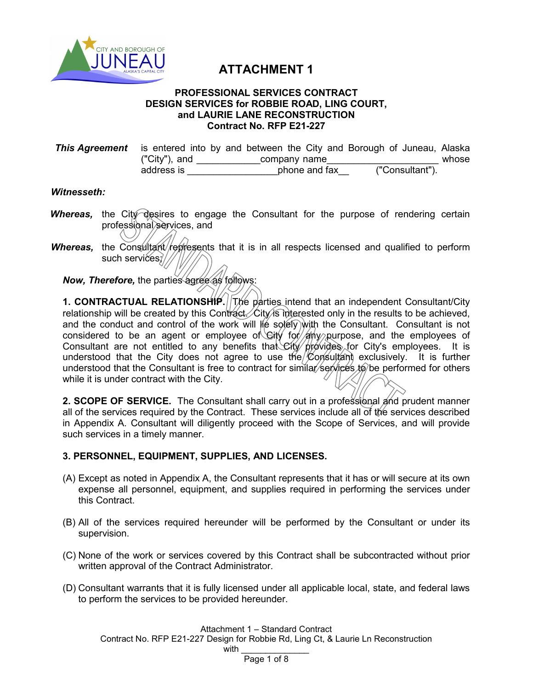

# **ATTACHMENT 1**

#### **PROFESSIONAL SERVICES CONTRACT DESIGN SERVICES for ROBBIE ROAD, LING COURT, and LAURIE LANE RECONSTRUCTION Contract No. RFP E21-227**

| <b>This Agreement</b> is entered into by and between the City and Borough of Juneau, Alaska |               |               |  |  |                 |  |       |
|---------------------------------------------------------------------------------------------|---------------|---------------|--|--|-----------------|--|-------|
|                                                                                             | ("City"), and | company name  |  |  |                 |  | whose |
|                                                                                             | address is    | phone and fax |  |  | ("Consultant"). |  |       |

#### *Witnesseth:*

- *Whereas*, the City desires to engage the Consultant for the purpose of rendering certain professional services, and
- *Whereas*, the Consultant/represents that it is in all respects licensed and qualified to perform such services; $\sqrt{ }$

*Now, Therefore, the parties agree as follows:* 

**1. CONTRACTUAL RELATIONSHIP.** The parties intend that an independent Consultant/City relationship will be created by this Contract. City is interested only in the results to be achieved, and the conduct and control of the work will  $\|\phi\|$  solely with the Consultant. Consultant is not considered to be an agent or employee of Gity for  $/$  any purpose, and the employees of Consultant are not entitled to any benefits that City provides for City's employees. It is understood that the City does not agree to use the  $\&$  on sultant exclusively. It is further understood that the Consultant is free to contract for similar services to be performed for others while it is under contract with the City.

**2. SCOPE OF SERVICE.** The Consultant shall carry out in a professional and prudent manner all of the services required by the Contract. These services include all of the services described in Appendix A. Consultant will diligently proceed with the Scope of Services, and will provide such services in a timely manner.

# **3. PERSONNEL, EQUIPMENT, SUPPLIES, AND LICENSES.**

- (A) Except as noted in Appendix A, the Consultant represents that it has or will secure at its own expense all personnel, equipment, and supplies required in performing the services under this Contract.
- (B) All of the services required hereunder will be performed by the Consultant or under its supervision.
- (C) None of the work or services covered by this Contract shall be subcontracted without prior written approval of the Contract Administrator.
- (D) Consultant warrants that it is fully licensed under all applicable local, state, and federal laws to perform the services to be provided hereunder.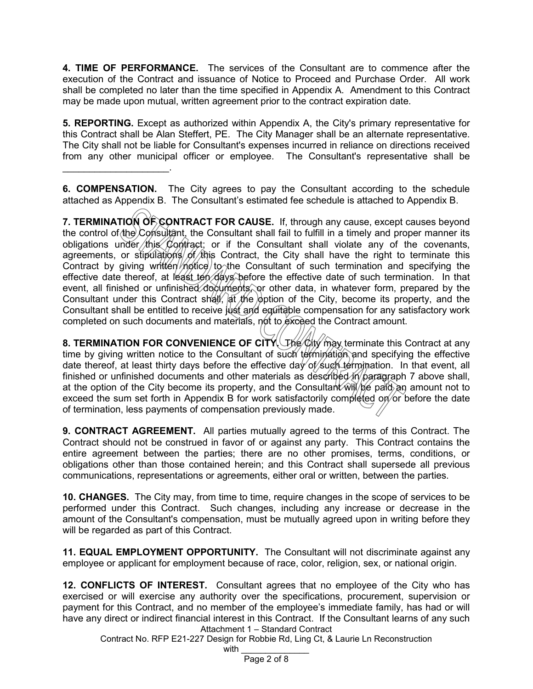**4. TIME OF PERFORMANCE.** The services of the Consultant are to commence after the execution of the Contract and issuance of Notice to Proceed and Purchase Order. All work shall be completed no later than the time specified in Appendix A. Amendment to this Contract may be made upon mutual, written agreement prior to the contract expiration date.

**5. REPORTING.** Except as authorized within Appendix A, the City's primary representative for this Contract shall be Alan Steffert, PE. The City Manager shall be an alternate representative. The City shall not be liable for Consultant's expenses incurred in reliance on directions received from any other municipal officer or employee. The Consultant's representative shall be

**6. COMPENSATION.** The City agrees to pay the Consultant according to the schedule attached as Appendix B. The Consultant's estimated fee schedule is attached to Appendix B.

 $\mathcal{L}=\mathcal{L}^{\mathcal{L}}$ 

**7. TERMINATION OF CONTRACT FOR CAUSE.** If, through any cause, except causes beyond the control of the Consultant, the Consultant shall fail to fulfill in a timely and proper manner its obligations under this Contract; or if the Consultant shall violate any of the covenants, agreements, or stipulations of this Contract, the City shall have the right to terminate this Contract by giving written notice to the Consultant of such termination and specifying the effective date thereof, at least ten days before the effective date of such termination. In that event, all finished or unfinished documents, or other data, in whatever form, prepared by the Consultant under this Contract shall,  $\frac{1}{2}$  the  $\frac{1}{2}$  option of the City, become its property, and the Consultant shall be entitled to receive just and equitable compensation for any satisfactory work completed on such documents and materials, not to exceed the Contract amount.

**8. TERMINATION FOR CONVENIENCE OF CITY.** The City may terminate this Contract at any time by giving written notice to the Consultant of such termination and specifying the effective date thereof, at least thirty days before the effective day of such termination. In that event, all finished or unfinished documents and other materials as described in paragraph 7 above shall, at the option of the City become its property, and the Consultant  $\hat{w}$   $\hat{w}$   $\hat{p}$   $\hat{p}$  an amount not to exceed the sum set forth in Appendix B for work satisfactorily completed on or before the date of termination, less payments of compensation previously made.

**9. CONTRACT AGREEMENT.** All parties mutually agreed to the terms of this Contract. The Contract should not be construed in favor of or against any party. This Contract contains the entire agreement between the parties; there are no other promises, terms, conditions, or obligations other than those contained herein; and this Contract shall supersede all previous communications, representations or agreements, either oral or written, between the parties.

**10. CHANGES.** The City may, from time to time, require changes in the scope of services to be performed under this Contract. Such changes, including any increase or decrease in the amount of the Consultant's compensation, must be mutually agreed upon in writing before they will be regarded as part of this Contract.

**11. EQUAL EMPLOYMENT OPPORTUNITY.** The Consultant will not discriminate against any employee or applicant for employment because of race, color, religion, sex, or national origin.

Attachment 1 – Standard Contract **12. CONFLICTS OF INTEREST.** Consultant agrees that no employee of the City who has exercised or will exercise any authority over the specifications, procurement, supervision or payment for this Contract, and no member of the employee's immediate family, has had or will have any direct or indirect financial interest in this Contract. If the Consultant learns of any such

Contract No. RFP E21-227 Design for Robbie Rd, Ling Ct, & Laurie Ln Reconstruction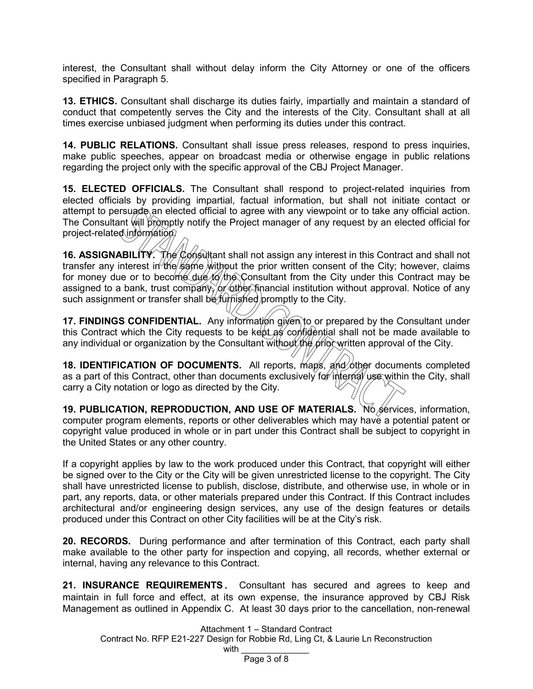interest, the Consultant shall without delay inform the City Attorney or one of the officers specified in Paragraph 5.

**13. ETHICS.** Consultant shall discharge its duties fairly, impartially and maintain a standard of conduct that competently serves the City and the interests of the City. Consultant shall at all times exercise unbiased judgment when performing its duties under this contract.

**14. PUBLIC RELATIONS.** Consultant shall issue press releases, respond to press inquiries, make public speeches, appear on broadcast media or otherwise engage in public relations regarding the project only with the specific approval of the CBJ Project Manager.

**15. ELECTED OFFICIALS.** The Consultant shall respond to project-related inquiries from elected officials by providing impartial, factual information, but shall not initiate contact or attempt to persuade an elected official to agree with any viewpoint or to take any official action. The Consultant will promptly notify the Project manager of any request by an elected official for project-related information.

**16. ASSIGNABILITY.** The Consultant shall not assign any interest in this Contract and shall not transfer any interest in the same without the prior written consent of the City; however, claims for money due or to become due to the Consultant from the City under this Contract may be assigned to a bank, trust company, or other financial institution without approval. Notice of any such assignment or transfer shall be *furnished* promptly to the City.

**17. FINDINGS CONFIDENTIAL.** Any information given to or prepared by the Consultant under this Contract which the City requests to be kept as confidential shall not be made available to any individual or organization by the Consultant without the prior written approval of the City.

**18. IDENTIFICATION OF DOCUMENTS.** All reports, maps, and other documents completed as a part of this Contract, other than documents exclusively for internal use within the City, shall carry a City notation or logo as directed by the City.

**19. PUBLICATION, REPRODUCTION, AND USE OF MATERIALS.** No services, information, computer program elements, reports or other deliverables which may have a potential patent or copyright value produced in whole or in part under this Contract shall be subject to copyright in the United States or any other country.

If a copyright applies by law to the work produced under this Contract, that copyright will either be signed over to the City or the City will be given unrestricted license to the copyright. The City shall have unrestricted license to publish, disclose, distribute, and otherwise use, in whole or in part, any reports, data, or other materials prepared under this Contract. If this Contract includes architectural and/or engineering design services, any use of the design features or details produced under this Contract on other City facilities will be at the City's risk.

**20. RECORDS.** During performance and after termination of this Contract, each party shall make available to the other party for inspection and copying, all records, whether external or internal, having any relevance to this Contract.

**21. INSURANCE REQUIREMENTS.** Consultant has secured and agrees to keep and maintain in full force and effect, at its own expense, the insurance approved by CBJ Risk Management as outlined in Appendix C. At least 30 days prior to the cancellation, non-renewal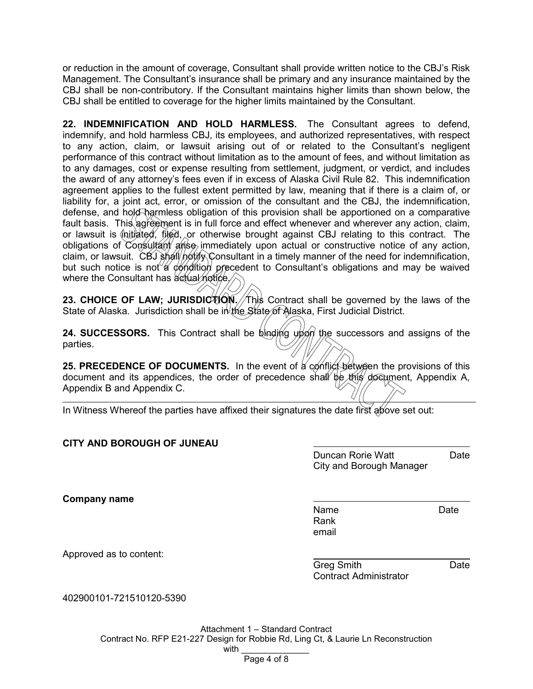or reduction in the amount of coverage, Consultant shall provide written notice to the CBJ's Risk Management. The Consultant's insurance shall be primary and any insurance maintained by the CBJ shall be non-contributory. If the Consultant maintains higher limits than shown below, the CBJ shall be entitled to coverage for the higher limits maintained by the Consultant.

**22. INDEMNIFICATION AND HOLD HARMLESS.** The Consultant agrees to defend, indemnify, and hold harmless CBJ, its employees, and authorized representatives, with respect to any action, claim, or lawsuit arising out of or related to the Consultant's negligent performance of this contract without limitation as to the amount of fees, and without limitation as to any damages, cost or expense resulting from settlement, judgment, or verdict, and includes the award of any attorney's fees even if in excess of Alaska Civil Rule 82. This indemnification agreement applies to the fullest extent permitted by law, meaning that if there is a claim of, or liability for, a joint act, error, or omission of the consultant and the CBJ, the indemnification, defense, and hold harmless obligation of this provision shall be apportioned on a comparative fault basis. This agreement is in full force and effect whenever and wherever any action, claim, or lawsuit is  $\oint$ nitiated, filed, or otherwise brought against CBJ relating to this contract. The obligations of Consultant arise immediately upon actual or constructive notice of any action, claim, or lawsuit. CBJ shall notify Consultant in a timely manner of the need for indemnification, but such notice is not a condition precedent to Consultant's obligations and may be waived where the Consultant has actual notice.

**23. CHOICE OF LAW; JURISDICTION. This Contract shall be governed by the laws of the** State of Alaska. Jurisdiction shall be in the State of Alaska, First Judicial District.

**24. SUCCESSORS.** This Contract shall be binding upon the successors and assigns of the parties.

**25. PRECEDENCE OF DOCUMENTS.** In the event of a conflict between the provisions of this document and its appendices, the order of precedence shall be this document, Appendix A, Appendix B and Appendix C.

In Witness Whereof the parties have affixed their signatures the date first above set out:

# **CITY AND BOROUGH OF JUNEAU**

Duncan Rorie Watt **Date** City and Borough Manager

**Company name**

Name Date Rank email

Approved as to content:

Greg Smith **Date** Contract Administrator

402900101-721510120-5390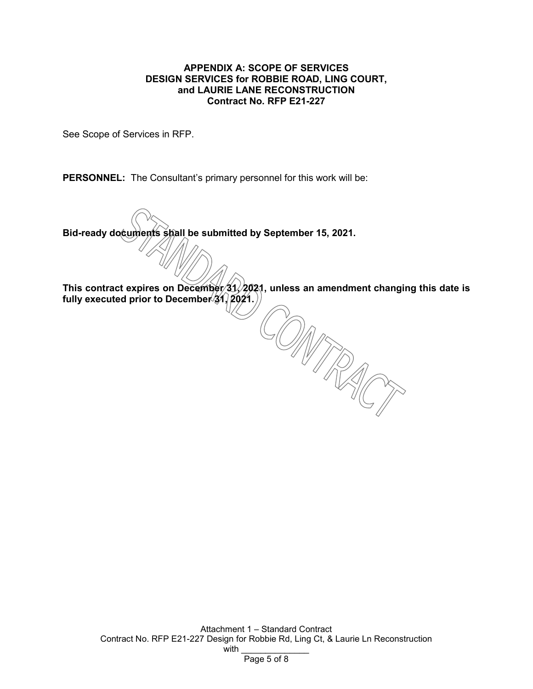#### **APPENDIX A: SCOPE OF SERVICES DESIGN SERVICES for ROBBIE ROAD, LING COURT, and LAURIE LANE RECONSTRUCTION Contract No. RFP E21-227**

See Scope of Services in RFP.

**PERSONNEL:** The Consultant's primary personnel for this work will be:

**Bid-ready documents shall be submitted by September 15, 2021.**

This contract expires on December 31, 2021, unless an amendment changing this date is fully executed prior to December<sup>/31</sup>, 2021.)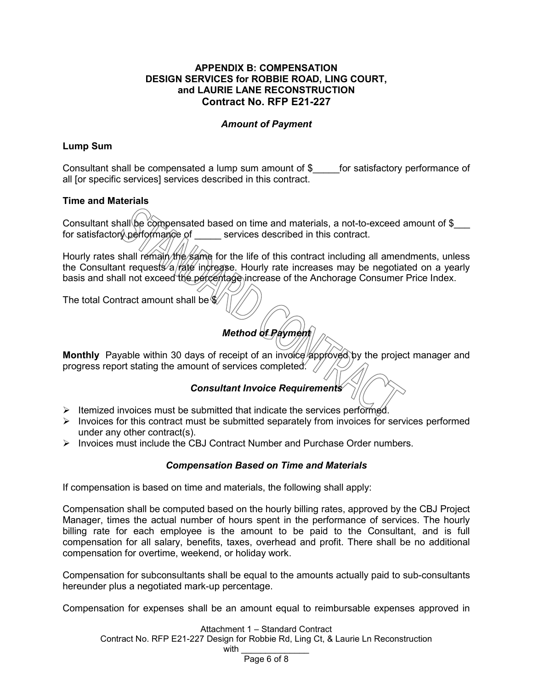#### **APPENDIX B: COMPENSATION DESIGN SERVICES for ROBBIE ROAD, LING COURT, and LAURIE LANE RECONSTRUCTION Contract No. RFP E21-227**

# *Amount of Payment*

# **Lump Sum**

Consultant shall be compensated a lump sum amount of \$\_\_\_\_\_for satisfactory performance of all [or specific services] services described in this contract.

# **Time and Materials**

Consultant shall be compensated based on time and materials, a not-to-exceed amount of  $\frac{1}{2}$ for satisfactor performance of services described in this contract.

Hourly rates shall remain the same for the life of this contract including all amendments, unless the Consultant requests  $a$  rate increase. Hourly rate increases may be negotiated on a yearly basis and shall not exceed the percentage increase of the Anchorage Consumer Price Index.

The total Contract amount shall be  $$$ 

# *Method of Payment*

**Monthly** Payable within 30 days of receipt of an invoice approved by the project manager and progress report stating the amount of services completed.  $\angle$ 

# *Consultant Invoice Requirements*

- $\triangleright$  Itemized invoices must be submitted that indicate the services performed.
- $\triangleright$  Invoices for this contract must be submitted separately from invoices for services performed under any other contract(s).
- $\triangleright$  Invoices must include the CBJ Contract Number and Purchase Order numbers.

# *Compensation Based on Time and Materials*

If compensation is based on time and materials, the following shall apply:

Compensation shall be computed based on the hourly billing rates, approved by the CBJ Project Manager, times the actual number of hours spent in the performance of services. The hourly billing rate for each employee is the amount to be paid to the Consultant, and is full compensation for all salary, benefits, taxes, overhead and profit. There shall be no additional compensation for overtime, weekend, or holiday work.

Compensation for subconsultants shall be equal to the amounts actually paid to sub-consultants hereunder plus a negotiated mark-up percentage.

Compensation for expenses shall be an amount equal to reimbursable expenses approved in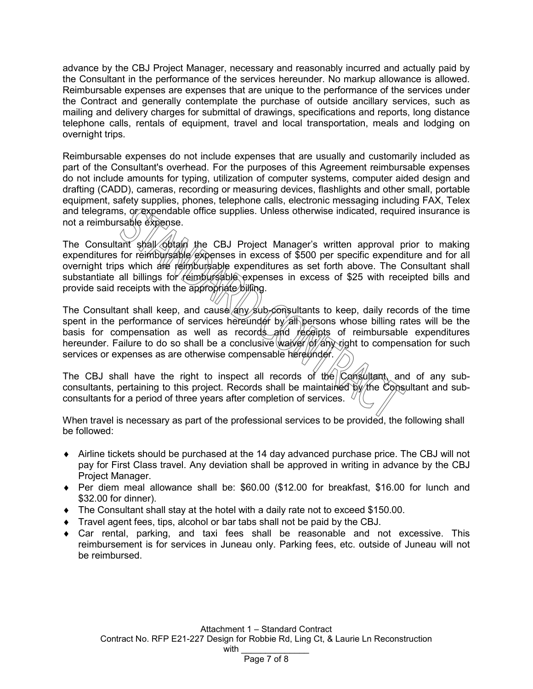advance by the CBJ Project Manager, necessary and reasonably incurred and actually paid by the Consultant in the performance of the services hereunder. No markup allowance is allowed. Reimbursable expenses are expenses that are unique to the performance of the services under the Contract and generally contemplate the purchase of outside ancillary services, such as mailing and delivery charges for submittal of drawings, specifications and reports, long distance telephone calls, rentals of equipment, travel and local transportation, meals and lodging on overnight trips.

Reimbursable expenses do not include expenses that are usually and customarily included as part of the Consultant's overhead. For the purposes of this Agreement reimbursable expenses do not include amounts for typing, utilization of computer systems, computer aided design and drafting (CADD), cameras, recording or measuring devices, flashlights and other small, portable equipment, safety supplies, phones, telephone calls, electronic messaging including FAX, Telex and telegrams, or expendable office supplies. Unless otherwise indicated, required insurance is not a reimbursable expense.

The Consultant shall obtain the CBJ Project Manager's written approval prior to making expenditures for reimbursable expenses in excess of \$500 per specific expenditure and for all overnight trips which are reimbursable expenditures as set forth above. The Consultant shall substantiate all billings for reimbursable expenses in excess of \$25 with receipted bills and provide said receipts with the appropriate billing.

The Consultant shall keep, and cause  $\frac{1}{4}$   $\frac{1}{2}$   $\frac{1}{2}$   $\frac{1}{2}$   $\frac{1}{2}$   $\frac{1}{2}$   $\frac{1}{2}$   $\frac{1}{2}$   $\frac{1}{2}$   $\frac{1}{2}$   $\frac{1}{2}$   $\frac{1}{2}$   $\frac{1}{2}$   $\frac{1}{2}$   $\frac{1}{2}$   $\frac{1}{2}$   $\frac{1}{2}$   $\frac{1}{2}$   $\frac{$ spent in the performance of services hereunder by all persons whose billing rates will be the basis for compensation as well as records and receipts of reimbursable expenditures hereunder. Failure to do so shall be a conclusive waiver  $\phi$ f any right to compensation for such services or expenses as are otherwise compensable hereunder.

The CBJ shall have the right to inspect all records of the  $\overline{C}$  consultant, and of any subconsultants, pertaining to this project. Records shall be maintained by the Consultant and subconsultants for a period of three years after completion of services.  $\langle$ 

When travel is necessary as part of the professional services to be provided, the following shall be followed:

- ♦ Airline tickets should be purchased at the 14 day advanced purchase price. The CBJ will not pay for First Class travel. Any deviation shall be approved in writing in advance by the CBJ Project Manager.
- ♦ Per diem meal allowance shall be: \$60.00 (\$12.00 for breakfast, \$16.00 for lunch and \$32.00 for dinner).
- $\blacklozenge$  The Consultant shall stay at the hotel with a daily rate not to exceed \$150.00.
- ♦ Travel agent fees, tips, alcohol or bar tabs shall not be paid by the CBJ.
- $\bullet$  Car rental, parking, and taxi fees shall be reasonable and not excessive. This reimbursement is for services in Juneau only. Parking fees, etc. outside of Juneau will not be reimbursed.